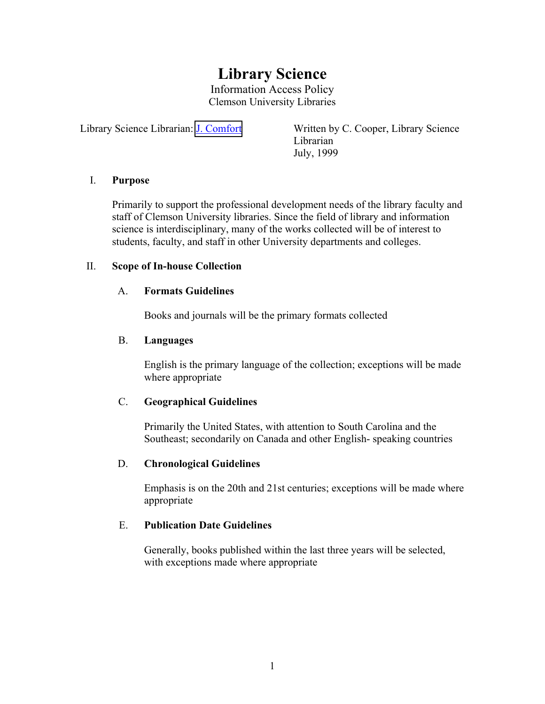# **Library Science**

Information Access Policy Clemson University Libraries

Library Science Librarian: [J. Comfort](mailto:comforj@clemson.edu) Written by C. Cooper, Library Science Librarian July, 1999

#### I. **Purpose**

Primarily to support the professional development needs of the library faculty and staff of Clemson University libraries. Since the field of library and information science is interdisciplinary, many of the works collected will be of interest to students, faculty, and staff in other University departments and colleges.

#### II. **Scope of In-house Collection**

#### A. **Formats Guidelines**

Books and journals will be the primary formats collected

#### B. **Languages**

English is the primary language of the collection; exceptions will be made where appropriate

## C. **Geographical Guidelines**

Primarily the United States, with attention to South Carolina and the Southeast; secondarily on Canada and other English- speaking countries

#### D. **Chronological Guidelines**

Emphasis is on the 20th and 21st centuries; exceptions will be made where appropriate

#### E. **Publication Date Guidelines**

Generally, books published within the last three years will be selected, with exceptions made where appropriate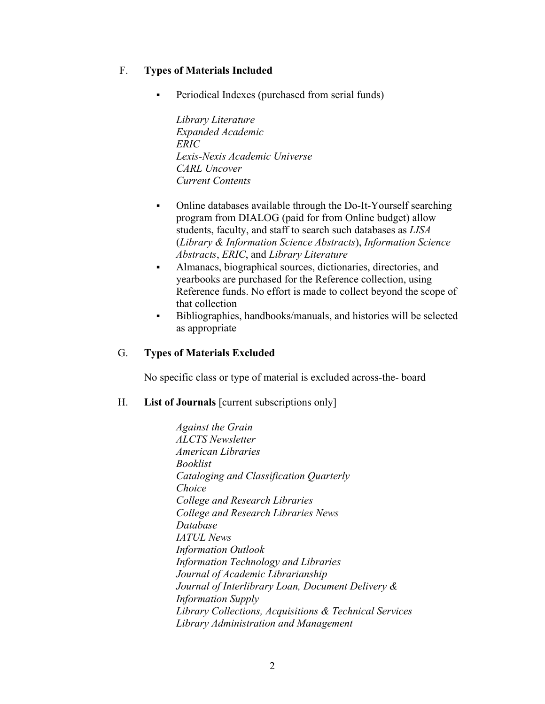## F. **Types of Materials Included**

Periodical Indexes (purchased from serial funds)

*Library Literature Expanded Academic ERIC Lexis-Nexis Academic Universe CARL Uncover Current Contents*

- Online databases available through the Do-It-Yourself searching program from DIALOG (paid for from Online budget) allow students, faculty, and staff to search such databases as *LISA* (*Library & Information Science Abstracts*), *Information Science Abstracts*, *ERIC*, and *Library Literature*
- Almanacs, biographical sources, dictionaries, directories, and yearbooks are purchased for the Reference collection, using Reference funds. No effort is made to collect beyond the scope of that collection
- Bibliographies, handbooks/manuals, and histories will be selected as appropriate

#### G. **Types of Materials Excluded**

No specific class or type of material is excluded across-the- board

#### H. **List of Journals** [current subscriptions only]

*Against the Grain ALCTS Newsletter American Libraries Booklist Cataloging and Classification Quarterly Choice College and Research Libraries College and Research Libraries News Database IATUL News Information Outlook Information Technology and Libraries Journal of Academic Librarianship Journal of Interlibrary Loan, Document Delivery & Information Supply Library Collections, Acquisitions & Technical Services Library Administration and Management*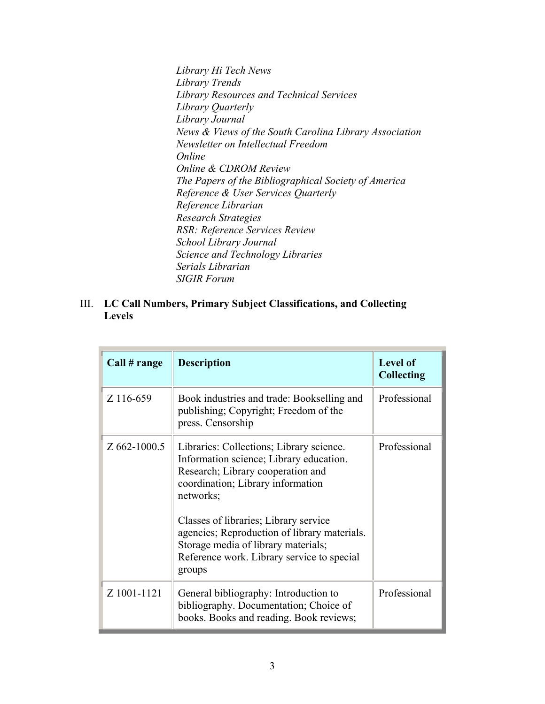*Library Hi Tech News Library Trends Library Resources and Technical Services Library Quarterly Library Journal News & Views of the South Carolina Library Association Newsletter on Intellectual Freedom Online Online & CDROM Review The Papers of the Bibliographical Society of America Reference & User Services Quarterly Reference Librarian Research Strategies RSR: Reference Services Review School Library Journal Science and Technology Libraries Serials Librarian SIGIR Forum* 

III. **LC Call Numbers, Primary Subject Classifications, and Collecting Levels** 

| Call # range | <b>Description</b>                                                                                                                                                                                                                                                                                                                                                 | <b>Level of</b><br><b>Collecting</b> |
|--------------|--------------------------------------------------------------------------------------------------------------------------------------------------------------------------------------------------------------------------------------------------------------------------------------------------------------------------------------------------------------------|--------------------------------------|
| Z 116-659    | Book industries and trade: Bookselling and<br>publishing; Copyright; Freedom of the<br>press. Censorship                                                                                                                                                                                                                                                           | Professional                         |
| Z 662-1000.5 | Libraries: Collections; Library science.<br>Information science; Library education.<br>Research; Library cooperation and<br>coordination; Library information<br>networks;<br>Classes of libraries; Library service<br>agencies; Reproduction of library materials.<br>Storage media of library materials;<br>Reference work. Library service to special<br>groups | Professional                         |
| Z 1001-1121  | General bibliography: Introduction to<br>bibliography. Documentation; Choice of<br>books. Books and reading. Book reviews;                                                                                                                                                                                                                                         | Professional                         |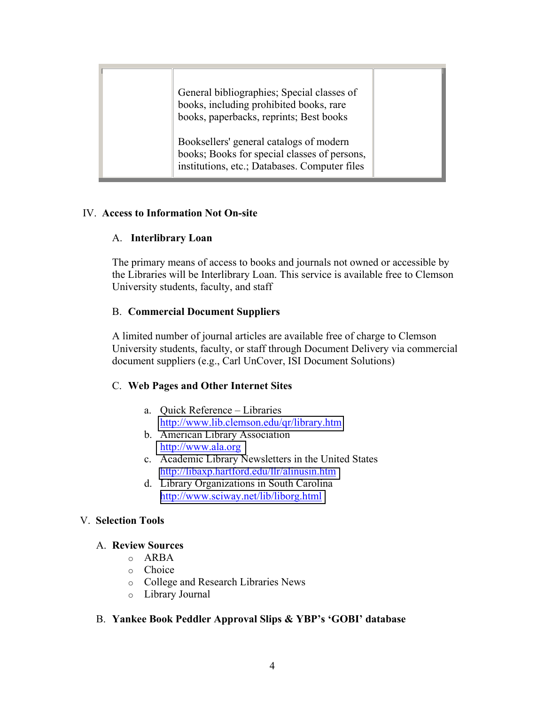| General bibliographies; Special classes of<br>books, including prohibited books, rare<br>books, paperbacks, reprints; Best books         |  |
|------------------------------------------------------------------------------------------------------------------------------------------|--|
| Booksellers' general catalogs of modern<br>books; Books for special classes of persons,<br>institutions, etc.; Databases. Computer files |  |

## IV. **Access to Information Not On-site**

## A. **Interlibrary Loan**

The primary means of access to books and journals not owned or accessible by the Libraries will be Interlibrary Loan. This service is available free to Clemson University students, faculty, and staff

## B. **Commercial Document Suppliers**

A limited number of journal articles are available free of charge to Clemson University students, faculty, or staff through Document Delivery via commercial document suppliers (e.g., Carl UnCover, ISI Document Solutions)

## C. **Web Pages and Other Internet Sites**

- a. Quick Reference Libraries <http://www.lib.clemson.edu/qr/library.htm>
- b. American Library Association <http://www.ala.org>
- c. Academic Library Newsletters in the United States <http://libaxp.hartford.edu/llr/alinusin.htm>
- d. Library Organizations in South Carolina <http://www.sciway.net/lib/liborg.html>

## V. **Selection Tools**

## A. **Review Sources**

- o ARBA
- o Choice
- o College and Research Libraries News
- o Library Journal

## B. **Yankee Book Peddler Approval Slips & YBP's 'GOBI' database**